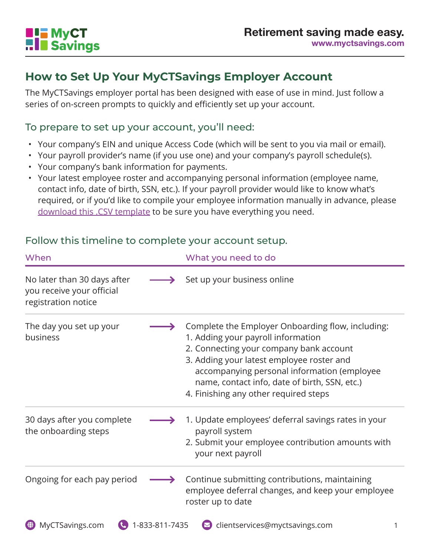

### **How to Set Up Your MyCTSavings Employer Account**

The MyCTSavings employer portal has been designed with ease of use in mind. Just follow a series of on-screen prompts to quickly and efficiently set up your account.

#### To prepare to set up your account, you'll need:

- Your company's EIN and unique Access Code (which will be sent to you via mail or email).
- Your payroll provider's name (if you use one) and your company's payroll schedule(s).
- Your company's bank information for payments.
- Your latest employee roster and accompanying personal information (employee name, contact info, date of birth, SSN, etc.). If your payroll provider would like to know what's required, or if you'd like to compile your employee information manually in advance, please download this .CSV template to be sure you have everything you need.

### Follow this timeline to complete your account setup.

| When                                                                            |                | What you need to do                                                                                                                                                                                                                                                                                                      |
|---------------------------------------------------------------------------------|----------------|--------------------------------------------------------------------------------------------------------------------------------------------------------------------------------------------------------------------------------------------------------------------------------------------------------------------------|
| No later than 30 days after<br>you receive your official<br>registration notice |                | Set up your business online                                                                                                                                                                                                                                                                                              |
| The day you set up your<br>business                                             |                | Complete the Employer Onboarding flow, including:<br>1. Adding your payroll information<br>2. Connecting your company bank account<br>3. Adding your latest employee roster and<br>accompanying personal information (employee<br>name, contact info, date of birth, SSN, etc.)<br>4. Finishing any other required steps |
| 30 days after you complete<br>the onboarding steps                              |                | 1. Update employees' deferral savings rates in your<br>payroll system<br>2. Submit your employee contribution amounts with<br>your next payroll                                                                                                                                                                          |
| Ongoing for each pay period                                                     |                | Continue submitting contributions, maintaining<br>employee deferral changes, and keep your employee<br>roster up to date                                                                                                                                                                                                 |
| MyCTSavings.com<br>₩                                                            | 1-833-811-7435 | clientservices@myctsavings.com                                                                                                                                                                                                                                                                                           |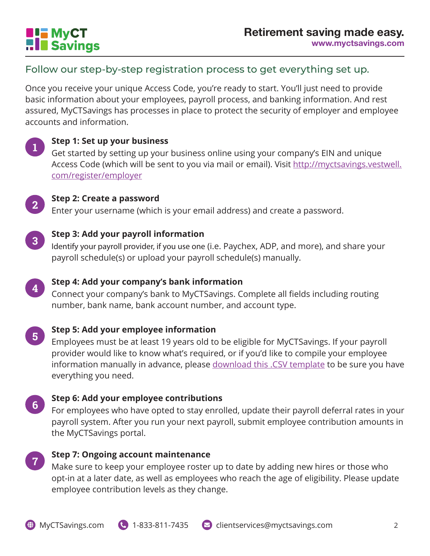

### Follow our step-by-step registration process to get everything set up.

Once you receive your unique Access Code, you're ready to start. You'll just need to provide basic information about your employees, payroll process, and banking information. And rest assured, MyCTSavings has processes in place to protect the security of employer and employee accounts and information.



### **Step 1: Set up your business <sup>1</sup>**

Get started by setting up your business online using your company's EIN and unique Access Code (which will be sent to you via mail or email). Visit http://myctsavings.vestwell. com/register/employer



## **Step 2: Create a password <sup>2</sup>**

Enter your username (which is your email address) and create a password.



### **Step 3: Add your payroll information <sup>3</sup>**

Identify your payroll provider, if you use one (i.e. Paychex, ADP, and more), and share your payroll schedule(s) or upload your payroll schedule(s) manually.



# **Step 4: Add your company's bank information <sup>4</sup>**

Connect your company's bank to MyCTSavings. Complete all fields including routing number, bank name, bank account number, and account type.

**Step 5: Add your employee information** 

Employees must be at least 19 years old to be eligible for MyCTSavings. If your payroll provider would like to know what's required, or if you'd like to compile your employee information manually in advance, please download this .CSV template to be sure you have everything you need.

# **Step 6: Add your employee contributions <sup>6</sup>**

For employees who have opted to stay enrolled, update their payroll deferral rates in your payroll system. After you run your next payroll, submit employee contribution amounts in the MyCTSavings portal.



# **Step 7: Ongoing account maintenance**

Make sure to keep your employee roster up to date by adding new hires or those who opt-in at a later date, as well as employees who reach the age of eligibility. Please update employee contribution levels as they change.